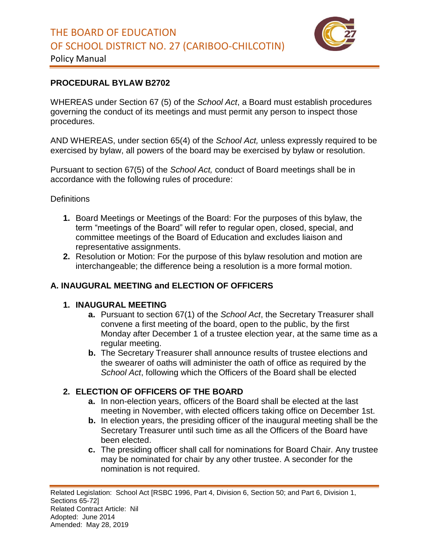

### Policy Manual

### **PROCEDURAL BYLAW B2702**

WHEREAS under Section 67 (5) of the *School Act*, a Board must establish procedures governing the conduct of its meetings and must permit any person to inspect those procedures.

AND WHEREAS, under section 65(4) of the *School Act,* unless expressly required to be exercised by bylaw, all powers of the board may be exercised by bylaw or resolution.

Pursuant to section 67(5) of the *School Act,* conduct of Board meetings shall be in accordance with the following rules of procedure:

#### **Definitions**

- **1.** Board Meetings or Meetings of the Board: For the purposes of this bylaw, the term "meetings of the Board" will refer to regular open, closed, special, and committee meetings of the Board of Education and excludes liaison and representative assignments.
- **2.** Resolution or Motion: For the purpose of this bylaw resolution and motion are interchangeable; the difference being a resolution is a more formal motion.

### **A. INAUGURAL MEETING and ELECTION OF OFFICERS**

#### **1. INAUGURAL MEETING**

- **a.** Pursuant to section 67(1) of the *School Act*, the Secretary Treasurer shall convene a first meeting of the board, open to the public, by the first Monday after December 1 of a trustee election year, at the same time as a regular meeting.
- **b.** The Secretary Treasurer shall announce results of trustee elections and the swearer of oaths will administer the oath of office as required by the *School Act*, following which the Officers of the Board shall be elected

### **2. ELECTION OF OFFICERS OF THE BOARD**

- **a.** In non-election years, officers of the Board shall be elected at the last meeting in November, with elected officers taking office on December 1st.
- **b.** In election years, the presiding officer of the inaugural meeting shall be the Secretary Treasurer until such time as all the Officers of the Board have been elected.
- **c.** The presiding officer shall call for nominations for Board Chair. Any trustee may be nominated for chair by any other trustee. A seconder for the nomination is not required.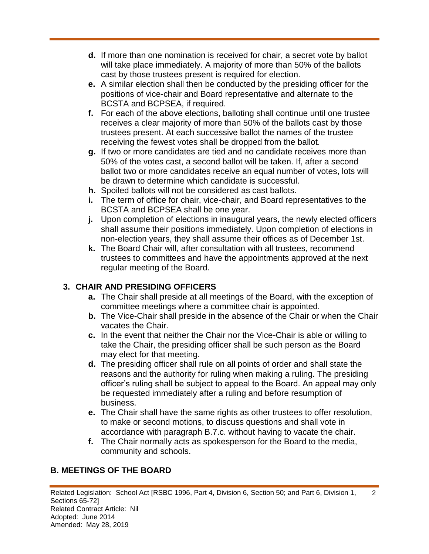- **d.** If more than one nomination is received for chair, a secret vote by ballot will take place immediately. A majority of more than 50% of the ballots cast by those trustees present is required for election.
- **e.** A similar election shall then be conducted by the presiding officer for the positions of vice-chair and Board representative and alternate to the BCSTA and BCPSEA, if required.
- **f.** For each of the above elections, balloting shall continue until one trustee receives a clear majority of more than 50% of the ballots cast by those trustees present. At each successive ballot the names of the trustee receiving the fewest votes shall be dropped from the ballot.
- **g.** If two or more candidates are tied and no candidate receives more than 50% of the votes cast, a second ballot will be taken. If, after a second ballot two or more candidates receive an equal number of votes, lots will be drawn to determine which candidate is successful.
- **h.** Spoiled ballots will not be considered as cast ballots.
- **i.** The term of office for chair, vice-chair, and Board representatives to the BCSTA and BCPSEA shall be one year.
- **j.** Upon completion of elections in inaugural years, the newly elected officers shall assume their positions immediately. Upon completion of elections in non-election years, they shall assume their offices as of December 1st.
- **k.** The Board Chair will, after consultation with all trustees, recommend trustees to committees and have the appointments approved at the next regular meeting of the Board.

# **3. CHAIR AND PRESIDING OFFICERS**

- **a.** The Chair shall preside at all meetings of the Board, with the exception of committee meetings where a committee chair is appointed.
- **b.** The Vice-Chair shall preside in the absence of the Chair or when the Chair vacates the Chair.
- **c.** In the event that neither the Chair nor the Vice-Chair is able or willing to take the Chair, the presiding officer shall be such person as the Board may elect for that meeting.
- **d.** The presiding officer shall rule on all points of order and shall state the reasons and the authority for ruling when making a ruling. The presiding officer's ruling shall be subject to appeal to the Board. An appeal may only be requested immediately after a ruling and before resumption of business.
- **e.** The Chair shall have the same rights as other trustees to offer resolution, to make or second motions, to discuss questions and shall vote in accordance with paragraph B.7.c. without having to vacate the chair.
- **f.** The Chair normally acts as spokesperson for the Board to the media, community and schools.

# **B. MEETINGS OF THE BOARD**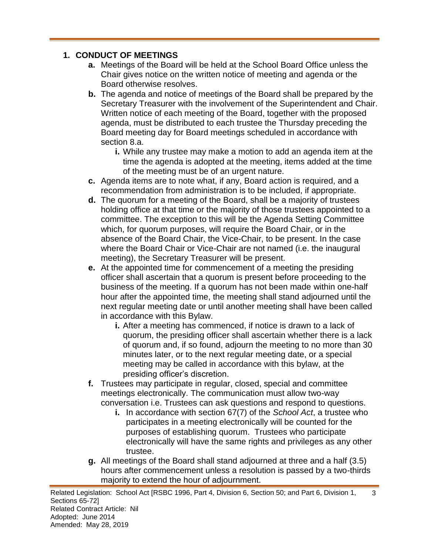### **1. CONDUCT OF MEETINGS**

- **a.** Meetings of the Board will be held at the School Board Office unless the Chair gives notice on the written notice of meeting and agenda or the Board otherwise resolves.
- **b.** The agenda and notice of meetings of the Board shall be prepared by the Secretary Treasurer with the involvement of the Superintendent and Chair. Written notice of each meeting of the Board, together with the proposed agenda, must be distributed to each trustee the Thursday preceding the Board meeting day for Board meetings scheduled in accordance with section 8.a.
	- **i.** While any trustee may make a motion to add an agenda item at the time the agenda is adopted at the meeting, items added at the time of the meeting must be of an urgent nature.
- **c.** Agenda items are to note what, if any, Board action is required, and a recommendation from administration is to be included, if appropriate.
- **d.** The quorum for a meeting of the Board, shall be a majority of trustees holding office at that time or the majority of those trustees appointed to a committee. The exception to this will be the Agenda Setting Committee which, for quorum purposes, will require the Board Chair, or in the absence of the Board Chair, the Vice-Chair, to be present. In the case where the Board Chair or Vice-Chair are not named (i.e. the inaugural meeting), the Secretary Treasurer will be present.
- **e.** At the appointed time for commencement of a meeting the presiding officer shall ascertain that a quorum is present before proceeding to the business of the meeting. If a quorum has not been made within one-half hour after the appointed time, the meeting shall stand adjourned until the next regular meeting date or until another meeting shall have been called in accordance with this Bylaw.
	- **i.** After a meeting has commenced, if notice is drawn to a lack of quorum, the presiding officer shall ascertain whether there is a lack of quorum and, if so found, adjourn the meeting to no more than 30 minutes later, or to the next regular meeting date, or a special meeting may be called in accordance with this bylaw, at the presiding officer's discretion.
- **f.** Trustees may participate in regular, closed, special and committee meetings electronically. The communication must allow two-way conversation i.e. Trustees can ask questions and respond to questions.
	- **i.** In accordance with section 67(7) of the *School Act*, a trustee who participates in a meeting electronically will be counted for the purposes of establishing quorum. Trustees who participate electronically will have the same rights and privileges as any other trustee.
- **g.** All meetings of the Board shall stand adjourned at three and a half (3.5) hours after commencement unless a resolution is passed by a two-thirds majority to extend the hour of adjournment.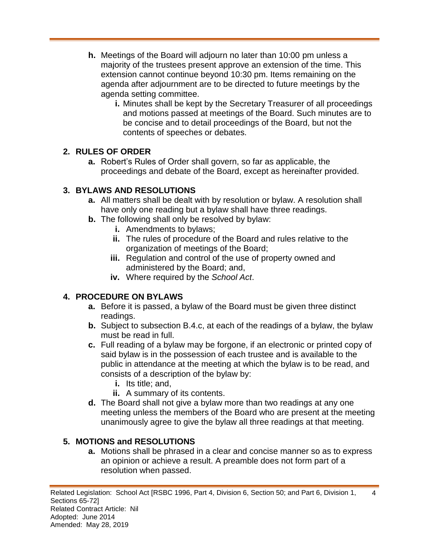- **h.** Meetings of the Board will adjourn no later than 10:00 pm unless a majority of the trustees present approve an extension of the time. This extension cannot continue beyond 10:30 pm. Items remaining on the agenda after adjournment are to be directed to future meetings by the agenda setting committee.
	- **i.** Minutes shall be kept by the Secretary Treasurer of all proceedings and motions passed at meetings of the Board. Such minutes are to be concise and to detail proceedings of the Board, but not the contents of speeches or debates.

### **2. RULES OF ORDER**

**a.** Robert's Rules of Order shall govern, so far as applicable, the proceedings and debate of the Board, except as hereinafter provided.

## **3. BYLAWS AND RESOLUTIONS**

- **a.** All matters shall be dealt with by resolution or bylaw. A resolution shall have only one reading but a bylaw shall have three readings.
- **b.** The following shall only be resolved by bylaw:
	- **i.** Amendments to bylaws;
	- **ii.** The rules of procedure of the Board and rules relative to the organization of meetings of the Board;
	- **iii.** Regulation and control of the use of property owned and administered by the Board; and,
	- **iv.** Where required by the *School Act*.

# **4. PROCEDURE ON BYLAWS**

- **a.** Before it is passed, a bylaw of the Board must be given three distinct readings.
- **b.** Subject to subsection B.4.c, at each of the readings of a bylaw, the bylaw must be read in full.
- **c.** Full reading of a bylaw may be forgone, if an electronic or printed copy of said bylaw is in the possession of each trustee and is available to the public in attendance at the meeting at which the bylaw is to be read, and consists of a description of the bylaw by:
	- **i.** Its title; and,
	- **ii.** A summary of its contents.
- **d.** The Board shall not give a bylaw more than two readings at any one meeting unless the members of the Board who are present at the meeting unanimously agree to give the bylaw all three readings at that meeting.

# **5. MOTIONS and RESOLUTIONS**

**a.** Motions shall be phrased in a clear and concise manner so as to express an opinion or achieve a result. A preamble does not form part of a resolution when passed.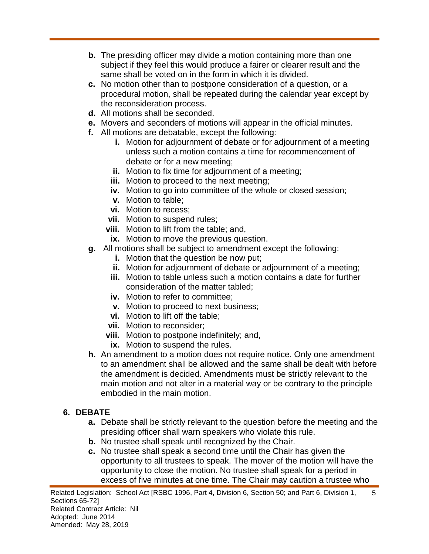- **b.** The presiding officer may divide a motion containing more than one subject if they feel this would produce a fairer or clearer result and the same shall be voted on in the form in which it is divided.
- **c.** No motion other than to postpone consideration of a question, or a procedural motion, shall be repeated during the calendar year except by the reconsideration process.
- **d.** All motions shall be seconded.
- **e.** Movers and seconders of motions will appear in the official minutes.
- **f.** All motions are debatable, except the following:
	- **i.** Motion for adjournment of debate or for adjournment of a meeting unless such a motion contains a time for recommencement of debate or for a new meeting;
	- **ii.** Motion to fix time for adjournment of a meeting;
	- **iii.** Motion to proceed to the next meeting;
	- **iv.** Motion to go into committee of the whole or closed session;
	- **v.** Motion to table;
	- **vi.** Motion to recess;
	- **vii.** Motion to suspend rules;
	- **viii.** Motion to lift from the table; and,
	- **ix.** Motion to move the previous question.
- **g.** All motions shall be subject to amendment except the following:
	- **i.** Motion that the question be now put;
	- **ii.** Motion for adjournment of debate or adjournment of a meeting;
	- **iii.** Motion to table unless such a motion contains a date for further consideration of the matter tabled;
	- **iv.** Motion to refer to committee;
	- **v.** Motion to proceed to next business;
	- **vi.** Motion to lift off the table;
	- **vii.** Motion to reconsider;
	- **viii.** Motion to postpone indefinitely; and,
	- **ix.** Motion to suspend the rules.
- **h.** An amendment to a motion does not require notice. Only one amendment to an amendment shall be allowed and the same shall be dealt with before the amendment is decided. Amendments must be strictly relevant to the main motion and not alter in a material way or be contrary to the principle embodied in the main motion.

# **6. DEBATE**

- **a.** Debate shall be strictly relevant to the question before the meeting and the presiding officer shall warn speakers who violate this rule.
- **b.** No trustee shall speak until recognized by the Chair.
- **c.** No trustee shall speak a second time until the Chair has given the opportunity to all trustees to speak. The mover of the motion will have the opportunity to close the motion. No trustee shall speak for a period in excess of five minutes at one time. The Chair may caution a trustee who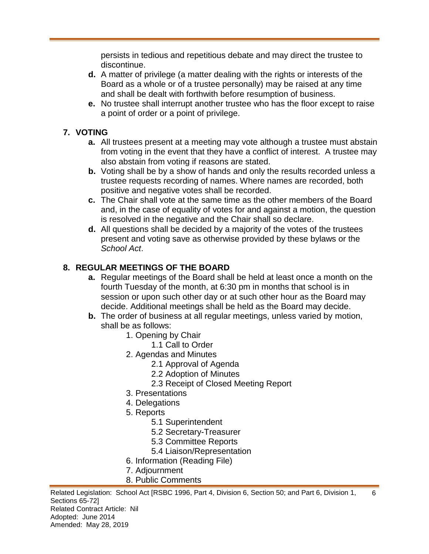persists in tedious and repetitious debate and may direct the trustee to discontinue.

- **d.** A matter of privilege (a matter dealing with the rights or interests of the Board as a whole or of a trustee personally) may be raised at any time and shall be dealt with forthwith before resumption of business.
- **e.** No trustee shall interrupt another trustee who has the floor except to raise a point of order or a point of privilege.

## **7. VOTING**

- **a.** All trustees present at a meeting may vote although a trustee must abstain from voting in the event that they have a conflict of interest. A trustee may also abstain from voting if reasons are stated.
- **b.** Voting shall be by a show of hands and only the results recorded unless a trustee requests recording of names. Where names are recorded, both positive and negative votes shall be recorded.
- **c.** The Chair shall vote at the same time as the other members of the Board and, in the case of equality of votes for and against a motion, the question is resolved in the negative and the Chair shall so declare.
- **d.** All questions shall be decided by a majority of the votes of the trustees present and voting save as otherwise provided by these bylaws or the *School Act*.

## **8. REGULAR MEETINGS OF THE BOARD**

- **a.** Regular meetings of the Board shall be held at least once a month on the fourth Tuesday of the month, at 6:30 pm in months that school is in session or upon such other day or at such other hour as the Board may decide. Additional meetings shall be held as the Board may decide.
- **b.** The order of business at all regular meetings, unless varied by motion, shall be as follows:
	- 1. Opening by Chair
		- 1.1 Call to Order
	- 2. Agendas and Minutes
		- 2.1 Approval of Agenda
		- 2.2 Adoption of Minutes
		- 2.3 Receipt of Closed Meeting Report
	- 3. Presentations
	- 4. Delegations
	- 5. Reports
		- 5.1 Superintendent
		- 5.2 Secretary-Treasurer
		- 5.3 Committee Reports
		- 5.4 Liaison/Representation
	- 6. Information (Reading File)
	- 7. Adjournment
	- 8. Public Comments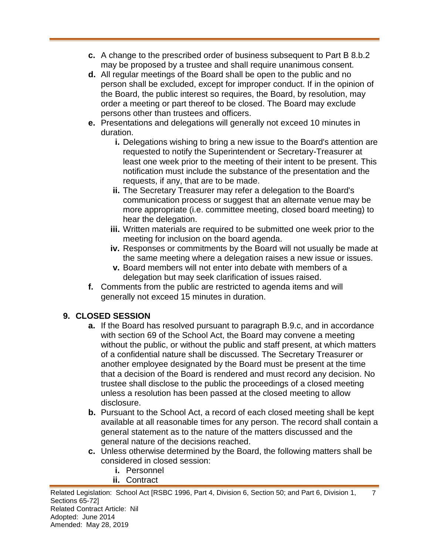- **c.** A change to the prescribed order of business subsequent to Part B 8.b.2 may be proposed by a trustee and shall require unanimous consent.
- **d.** All regular meetings of the Board shall be open to the public and no person shall be excluded, except for improper conduct. If in the opinion of the Board, the public interest so requires, the Board, by resolution, may order a meeting or part thereof to be closed. The Board may exclude persons other than trustees and officers.
- **e.** Presentations and delegations will generally not exceed 10 minutes in duration.
	- **i.** Delegations wishing to bring a new issue to the Board's attention are requested to notify the Superintendent or Secretary-Treasurer at least one week prior to the meeting of their intent to be present. This notification must include the substance of the presentation and the requests, if any, that are to be made.
	- **ii.** The Secretary Treasurer may refer a delegation to the Board's communication process or suggest that an alternate venue may be more appropriate (i.e. committee meeting, closed board meeting) to hear the delegation.
	- **iii.** Written materials are required to be submitted one week prior to the meeting for inclusion on the board agenda.
	- **iv.** Responses or commitments by the Board will not usually be made at the same meeting where a delegation raises a new issue or issues.
	- **v.** Board members will not enter into debate with members of a delegation but may seek clarification of issues raised.
- **f.** Comments from the public are restricted to agenda items and will generally not exceed 15 minutes in duration.

## **9. CLOSED SESSION**

- **a.** If the Board has resolved pursuant to paragraph B.9.c, and in accordance with section 69 of the School Act, the Board may convene a meeting without the public, or without the public and staff present, at which matters of a confidential nature shall be discussed. The Secretary Treasurer or another employee designated by the Board must be present at the time that a decision of the Board is rendered and must record any decision. No trustee shall disclose to the public the proceedings of a closed meeting unless a resolution has been passed at the closed meeting to allow disclosure.
- **b.** Pursuant to the School Act, a record of each closed meeting shall be kept available at all reasonable times for any person. The record shall contain a general statement as to the nature of the matters discussed and the general nature of the decisions reached.
- **c.** Unless otherwise determined by the Board, the following matters shall be considered in closed session:
	- **i.** Personnel
	- **ii.** Contract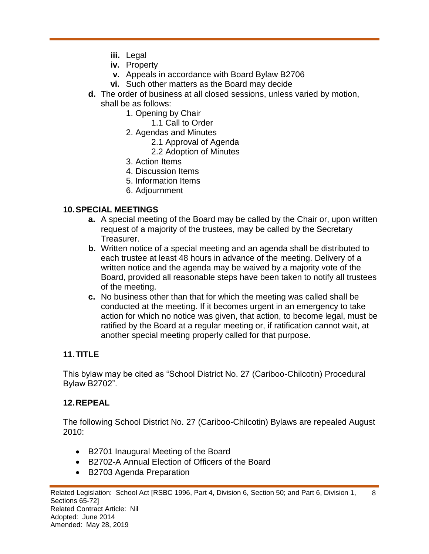- **iii.** Legal
- **iv.** Property
- **v.** Appeals in accordance with Board Bylaw B2706
- **vi.** Such other matters as the Board may decide
- **d.** The order of business at all closed sessions, unless varied by motion, shall be as follows:
	- 1. Opening by Chair
		- 1.1 Call to Order
	- 2. Agendas and Minutes
		- 2.1 Approval of Agenda
		- 2.2 Adoption of Minutes
	- 3. Action Items
	- 4. Discussion Items
	- 5. Information Items
	- 6. Adjournment

#### **10.SPECIAL MEETINGS**

- **a.** A special meeting of the Board may be called by the Chair or, upon written request of a majority of the trustees, may be called by the Secretary Treasurer.
- **b.** Written notice of a special meeting and an agenda shall be distributed to each trustee at least 48 hours in advance of the meeting. Delivery of a written notice and the agenda may be waived by a majority vote of the Board, provided all reasonable steps have been taken to notify all trustees of the meeting.
- **c.** No business other than that for which the meeting was called shall be conducted at the meeting. If it becomes urgent in an emergency to take action for which no notice was given, that action, to become legal, must be ratified by the Board at a regular meeting or, if ratification cannot wait, at another special meeting properly called for that purpose.

### **11.TITLE**

This bylaw may be cited as "School District No. 27 (Cariboo-Chilcotin) Procedural Bylaw B2702".

#### **12.REPEAL**

The following School District No. 27 (Cariboo-Chilcotin) Bylaws are repealed August 2010:

- B2701 Inaugural Meeting of the Board
- B2702-A Annual Election of Officers of the Board
- B2703 Agenda Preparation